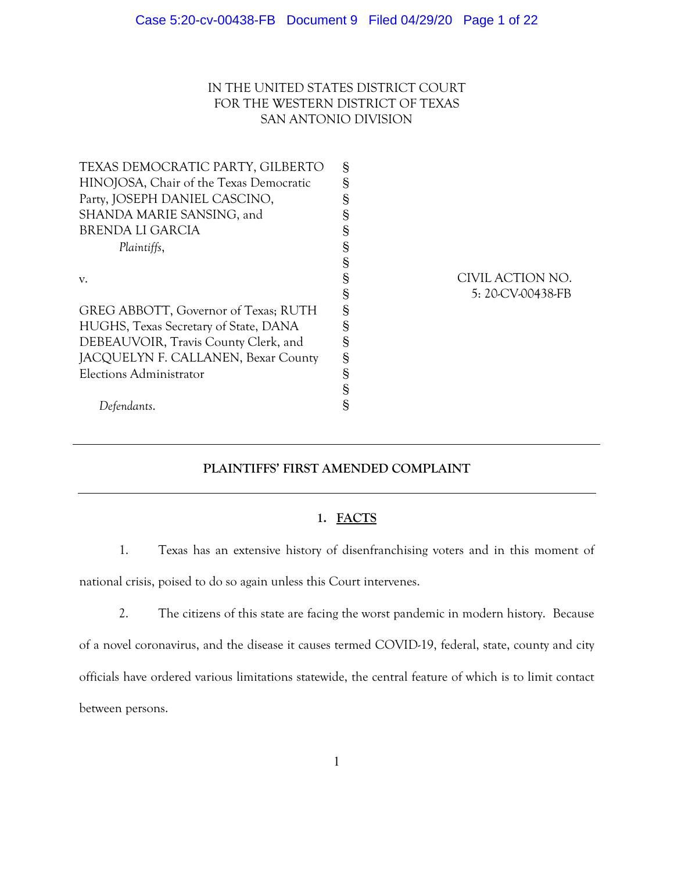# IN THE UNITED STATES DISTRICT COURT FOR THE WESTERN DISTRICT OF TEXAS SAN ANTONIO DIVISION

| TEXAS DEMOCRATIC PARTY, GILBERTO        | S |                   |
|-----------------------------------------|---|-------------------|
| HINOJOSA, Chair of the Texas Democratic | § |                   |
| Party, JOSEPH DANIEL CASCINO,           | § |                   |
| SHANDA MARIE SANSING, and               | § |                   |
| <b>BRENDA LI GARCIA</b>                 | § |                   |
| Plaintiffs,                             | § |                   |
|                                         | § |                   |
| V.                                      | § | CIVIL ACTION NO.  |
|                                         | § | 5: 20-CV-00438-FB |
| GREG ABBOTT, Governor of Texas; RUTH    | § |                   |
| HUGHS, Texas Secretary of State, DANA   | § |                   |
| DEBEAUVOIR, Travis County Clerk, and    | § |                   |
| JACQUELYN F. CALLANEN, Bexar County     | S |                   |
| Elections Administrator                 | § |                   |
|                                         | § |                   |
| Defendants.                             | § |                   |
|                                         |   |                   |

# **PLAINTIFFS' FIRST AMENDED COMPLAINT**

# **1. FACTS**

1. Texas has an extensive history of disenfranchising voters and in this moment of

national crisis, poised to do so again unless this Court intervenes.

2. The citizens of this state are facing the worst pandemic in modern history. Because of a novel coronavirus, and the disease it causes termed COVID-19, federal, state, county and city officials have ordered various limitations statewide, the central feature of which is to limit contact between persons.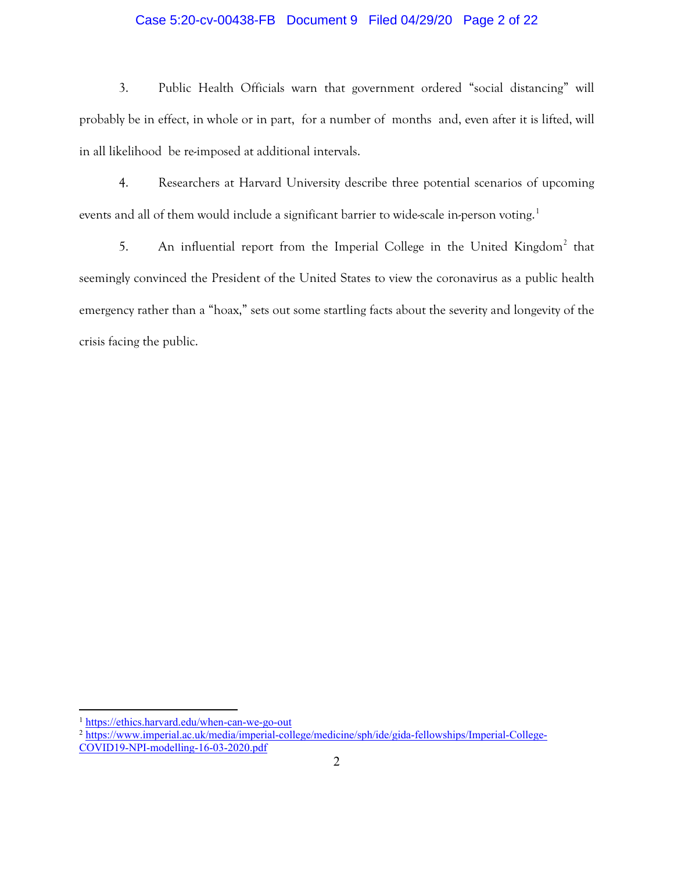# Case 5:20-cv-00438-FB Document 9 Filed 04/29/20 Page 2 of 22

3. Public Health Officials warn that government ordered "social distancing" will probably be in effect, in whole or in part, for a number of months and, even after it is lifted, will in all likelihood be re-imposed at additional intervals.

4. Researchers at Harvard University describe three potential scenarios of upcoming events and all of them would include a significant barrier to wide-scale in-person voting.<sup>[1](#page-1-0)</sup>

5. An influential report from the Imperial College in the United Kingdom<sup>[2](#page-1-1)</sup> that seemingly convinced the President of the United States to view the coronavirus as a public health emergency rather than a "hoax," sets out some startling facts about the severity and longevity of the crisis facing the public.

<span id="page-1-0"></span><sup>1</sup> <https://ethics.harvard.edu/when-can-we-go-out>

<span id="page-1-1"></span><sup>2</sup> [https://www.imperial.ac.uk/media/imperial-college/medicine/sph/ide/gida-fellowships/Imperial-College-](https://www.imperial.ac.uk/media/imperial-college/medicine/sph/ide/gida-fellowships/Imperial-College-COVID19-NPI-modelling-16-03-2020.pdf)[COVID19-NPI-modelling-16-03-2020.pdf](https://www.imperial.ac.uk/media/imperial-college/medicine/sph/ide/gida-fellowships/Imperial-College-COVID19-NPI-modelling-16-03-2020.pdf)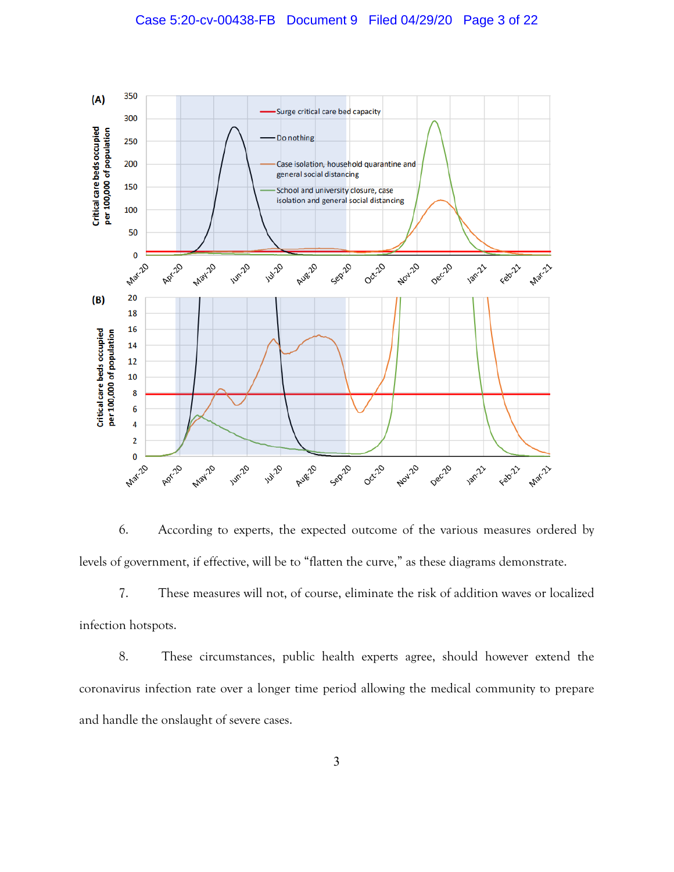

6. According to experts, the expected outcome of the various measures ordered by levels of government, if effective, will be to "flatten the curve," as these diagrams demonstrate.

7. These measures will not, of course, eliminate the risk of addition waves or localized infection hotspots.

8. These circumstances, public health experts agree, should however extend the coronavirus infection rate over a longer time period allowing the medical community to prepare and handle the onslaught of severe cases.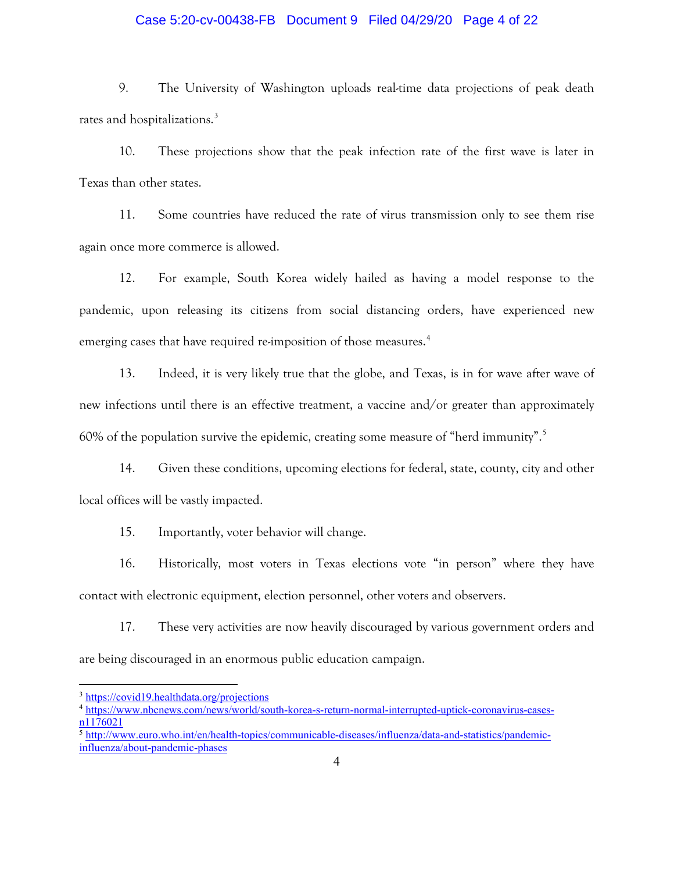# Case 5:20-cv-00438-FB Document 9 Filed 04/29/20 Page 4 of 22

9. The University of Washington uploads real-time data projections of peak death rates and hospitalizations.<sup>[3](#page-3-0)</sup>

10. These projections show that the peak infection rate of the first wave is later in Texas than other states.

11. Some countries have reduced the rate of virus transmission only to see them rise again once more commerce is allowed.

12. For example, South Korea widely hailed as having a model response to the pandemic, upon releasing its citizens from social distancing orders, have experienced new emerging cases that have required re-imposition of those measures.<sup>[4](#page-3-1)</sup>

13. Indeed, it is very likely true that the globe, and Texas, is in for wave after wave of new infections until there is an effective treatment, a vaccine and/or greater than approximately 60% of the population survive the epidemic, creating some measure of "herd immunity". [5](#page-3-2)

14. Given these conditions, upcoming elections for federal, state, county, city and other local offices will be vastly impacted.

15. Importantly, voter behavior will change.

16. Historically, most voters in Texas elections vote "in person" where they have contact with electronic equipment, election personnel, other voters and observers.

17. These very activities are now heavily discouraged by various government orders and are being discouraged in an enormous public education campaign.

<span id="page-3-0"></span><sup>3</sup> <https://covid19.healthdata.org/projections>

<span id="page-3-1"></span><sup>4</sup> [https://www.nbcnews.com/news/world/south-korea-s-return-normal-interrupted-uptick-coronavirus-cases](https://www.nbcnews.com/news/world/south-korea-s-return-normal-interrupted-uptick-coronavirus-cases-n1176021)[n1176021](https://www.nbcnews.com/news/world/south-korea-s-return-normal-interrupted-uptick-coronavirus-cases-n1176021)

<span id="page-3-2"></span><sup>5</sup> [http://www.euro.who.int/en/health-topics/communicable-diseases/influenza/data-and-statistics/pandemic](http://www.euro.who.int/en/health-topics/communicable-diseases/influenza/data-and-statistics/pandemic-influenza/about-pandemic-phases)[influenza/about-pandemic-phases](http://www.euro.who.int/en/health-topics/communicable-diseases/influenza/data-and-statistics/pandemic-influenza/about-pandemic-phases)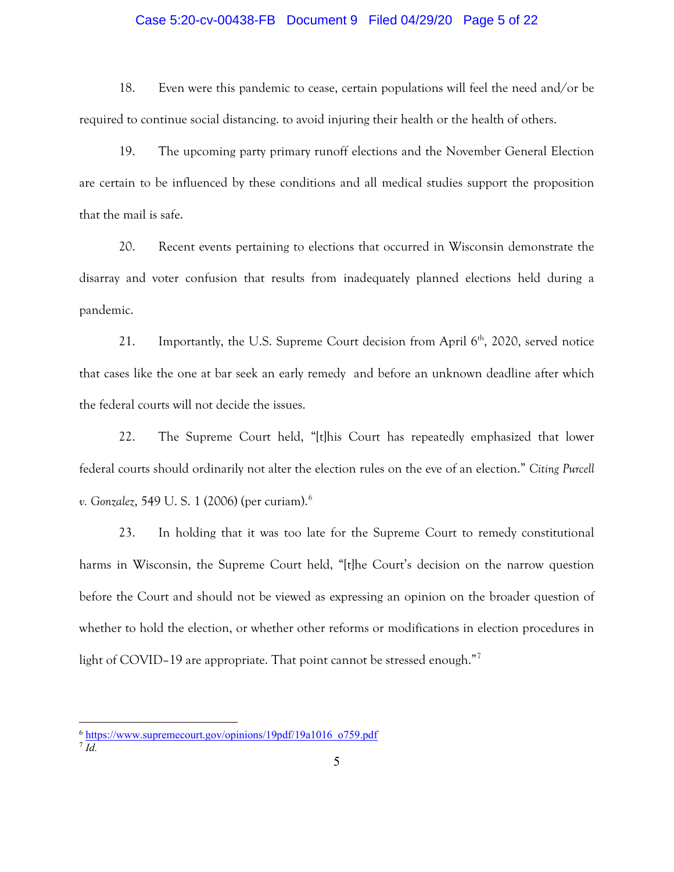### Case 5:20-cv-00438-FB Document 9 Filed 04/29/20 Page 5 of 22

18. Even were this pandemic to cease, certain populations will feel the need and/or be required to continue social distancing. to avoid injuring their health or the health of others.

19. The upcoming party primary runoff elections and the November General Election are certain to be influenced by these conditions and all medical studies support the proposition that the mail is safe.

20. Recent events pertaining to elections that occurred in Wisconsin demonstrate the disarray and voter confusion that results from inadequately planned elections held during a pandemic.

21. Importantly, the U.S. Supreme Court decision from April  $6<sup>th</sup>$ , 2020, served notice that cases like the one at bar seek an early remedy and before an unknown deadline after which the federal courts will not decide the issues.

22. The Supreme Court held, "[t]his Court has repeatedly emphasized that lower federal courts should ordinarily not alter the election rules on the eve of an election." *Citing Purcell v. Gonzalez*, 549 U. S. 1 (2006) (per curiam). [6](#page-4-0)

23. In holding that it was too late for the Supreme Court to remedy constitutional harms in Wisconsin, the Supreme Court held, "[t]he Court's decision on the narrow question before the Court and should not be viewed as expressing an opinion on the broader question of whether to hold the election, or whether other reforms or modifications in election procedures in light of COVID–19 are appropriate. That point cannot be stressed enough."<sup>[7](#page-4-1)</sup>

<span id="page-4-0"></span><sup>&</sup>lt;sup>6</sup> [https://www.supremecourt.gov/opinions/19pdf/19a1016\\_o759.pdf](https://www.supremecourt.gov/opinions/19pdf/19a1016_o759.pdf)

<span id="page-4-1"></span><sup>7</sup> *Id.*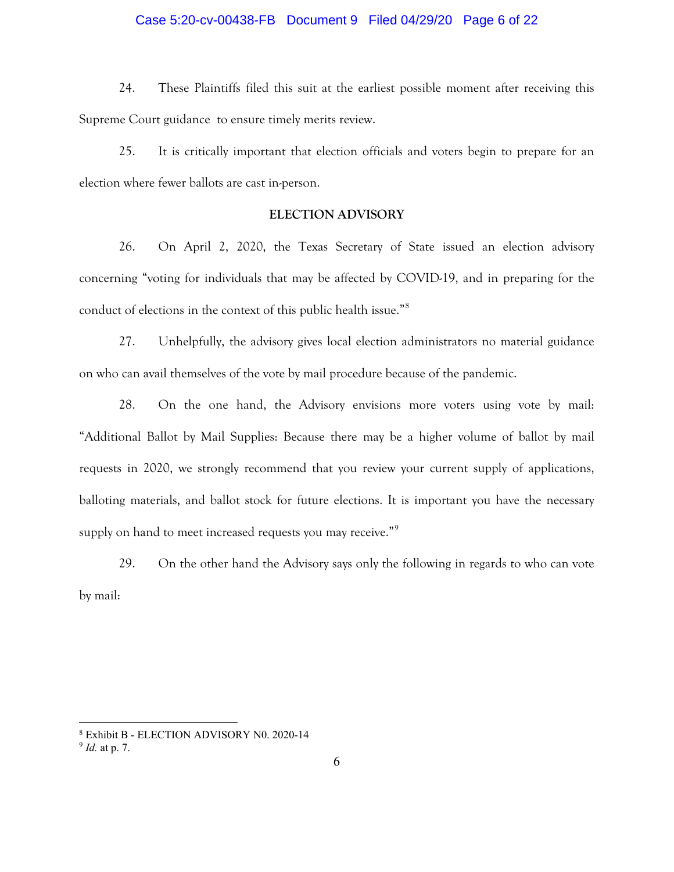### Case 5:20-cv-00438-FB Document 9 Filed 04/29/20 Page 6 of 22

24. These Plaintiffs filed this suit at the earliest possible moment after receiving this Supreme Court guidance to ensure timely merits review.

25. It is critically important that election officials and voters begin to prepare for an election where fewer ballots are cast in-person.

# **ELECTION ADVISORY**

26. On April 2, 2020, the Texas Secretary of State issued an election advisory concerning "voting for individuals that may be affected by COVID-19, and in preparing for the conduct of elections in the context of this public health issue."[8](#page-5-0)

27. Unhelpfully, the advisory gives local election administrators no material guidance on who can avail themselves of the vote by mail procedure because of the pandemic.

28. On the one hand, the Advisory envisions more voters using vote by mail: "Additional Ballot by Mail Supplies: Because there may be a higher volume of ballot by mail requests in 2020, we strongly recommend that you review your current supply of applications, balloting materials, and ballot stock for future elections. It is important you have the necessary supply on hand to meet increased requests you may receive."<sup>[9](#page-5-1)</sup>

29. On the other hand the Advisory says only the following in regards to who can vote by mail:

<span id="page-5-0"></span><sup>8</sup> Exhibit B - ELECTION ADVISORY N0. 2020-14

<span id="page-5-1"></span><sup>9</sup> *Id.* at p. 7.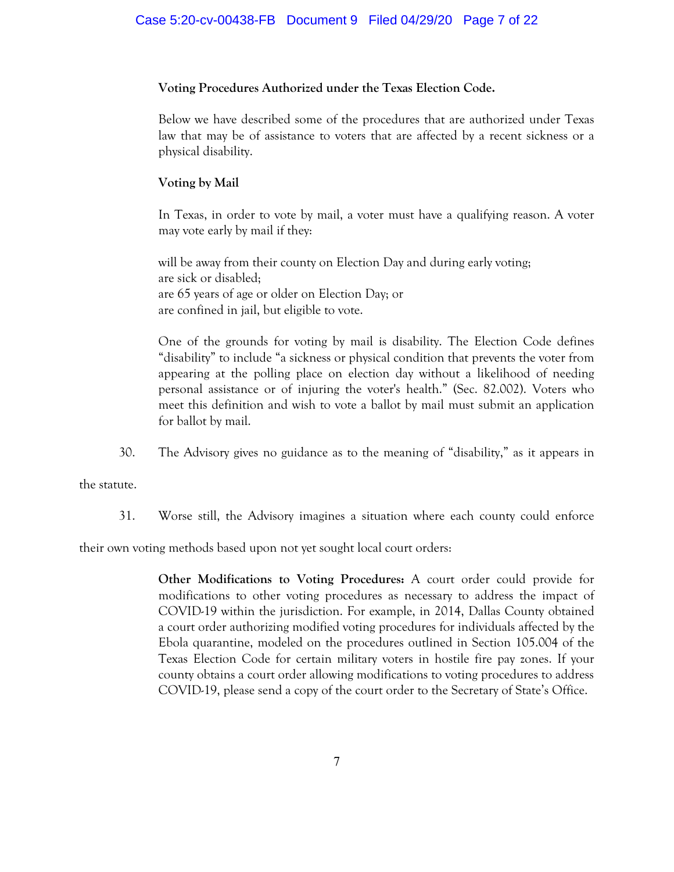# **Voting Procedures Authorized under the Texas Election Code.**

Below we have described some of the procedures that are authorized under Texas law that may be of assistance to voters that are affected by a recent sickness or a physical disability.

# **Voting by Mail**

In Texas, in order to vote by mail, a voter must have a qualifying reason. A voter may vote early by mail if they:

will be away from their county on Election Day and during early voting; are sick or disabled; are 65 years of age or older on Election Day; or are confined in jail, but eligible to vote.

One of the grounds for voting by mail is disability. The Election Code defines "disability" to include "a sickness or physical condition that prevents the voter from appearing at the polling place on election day without a likelihood of needing personal assistance or of injuring the voter's health." (Sec. 82.002). Voters who meet this definition and wish to vote a ballot by mail must submit an application for ballot by mail.

30. The Advisory gives no guidance as to the meaning of "disability," as it appears in

the statute.

31. Worse still, the Advisory imagines a situation where each county could enforce

their own voting methods based upon not yet sought local court orders:

**Other Modifications to Voting Procedures:** A court order could provide for modifications to other voting procedures as necessary to address the impact of COVID-19 within the jurisdiction. For example, in 2014, Dallas County obtained a court order authorizing modified voting procedures for individuals affected by the Ebola quarantine, modeled on the procedures outlined in Section 105.004 of the Texas Election Code for certain military voters in hostile fire pay zones. If your county obtains a court order allowing modifications to voting procedures to address COVID-19, please send a copy of the court order to the Secretary of State's Office.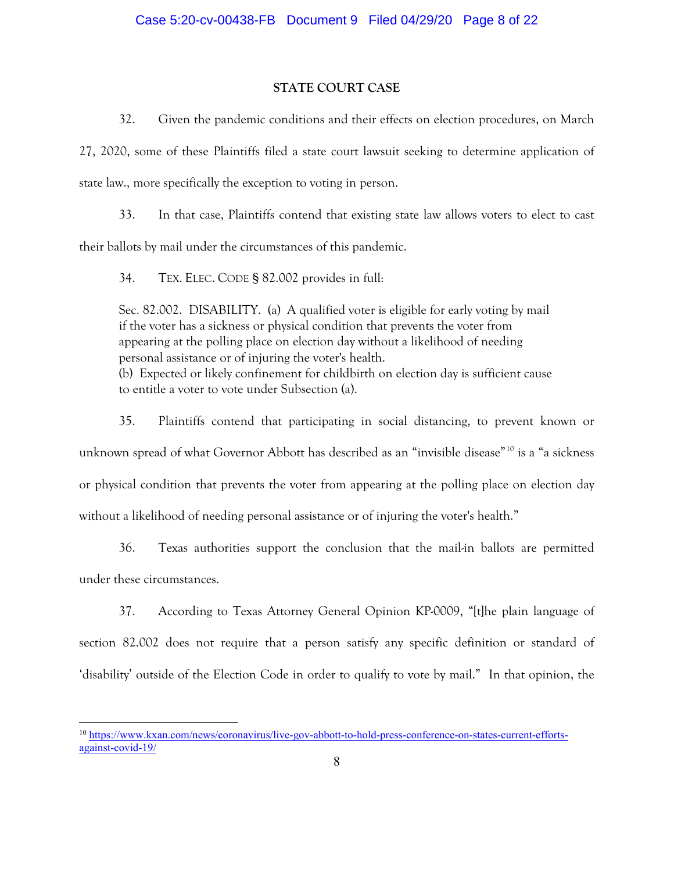# **STATE COURT CASE**

32. Given the pandemic conditions and their effects on election procedures, on March

27, 2020, some of these Plaintiffs filed a state court lawsuit seeking to determine application of state law., more specifically the exception to voting in person.

33. In that case, Plaintiffs contend that existing state law allows voters to elect to cast their ballots by mail under the circumstances of this pandemic.

34. TEX. ELEC. CODE § 82.002 provides in full:

Sec. 82.002. DISABILITY. (a) A qualified voter is eligible for early voting by mail if the voter has a sickness or physical condition that prevents the voter from appearing at the polling place on election day without a likelihood of needing personal assistance or of injuring the voter's health. (b) Expected or likely confinement for childbirth on election day is sufficient cause to entitle a voter to vote under Subsection (a).

35. Plaintiffs contend that participating in social distancing, to prevent known or unknown spread of what Governor Abbott has described as an "invisible disease"<sup>[10](#page-7-0)</sup> is a "a sickness or physical condition that prevents the voter from appearing at the polling place on election day without a likelihood of needing personal assistance or of injuring the voter's health."

36. Texas authorities support the conclusion that the mail-in ballots are permitted under these circumstances.

37. According to Texas Attorney General Opinion KP-0009, "[t]he plain language of section 82.002 does not require that a person satisfy any specific definition or standard of 'disability' outside of the Election Code in order to qualify to vote by mail." In that opinion, the

<span id="page-7-0"></span><sup>10</sup> [https://www.kxan.com/news/coronavirus/live-gov-abbott-to-hold-press-conference-on-states-current-efforts](https://www.kxan.com/news/coronavirus/live-gov-abbott-to-hold-press-conference-on-states-current-efforts-against-covid-19/)[against-covid-19/](https://www.kxan.com/news/coronavirus/live-gov-abbott-to-hold-press-conference-on-states-current-efforts-against-covid-19/)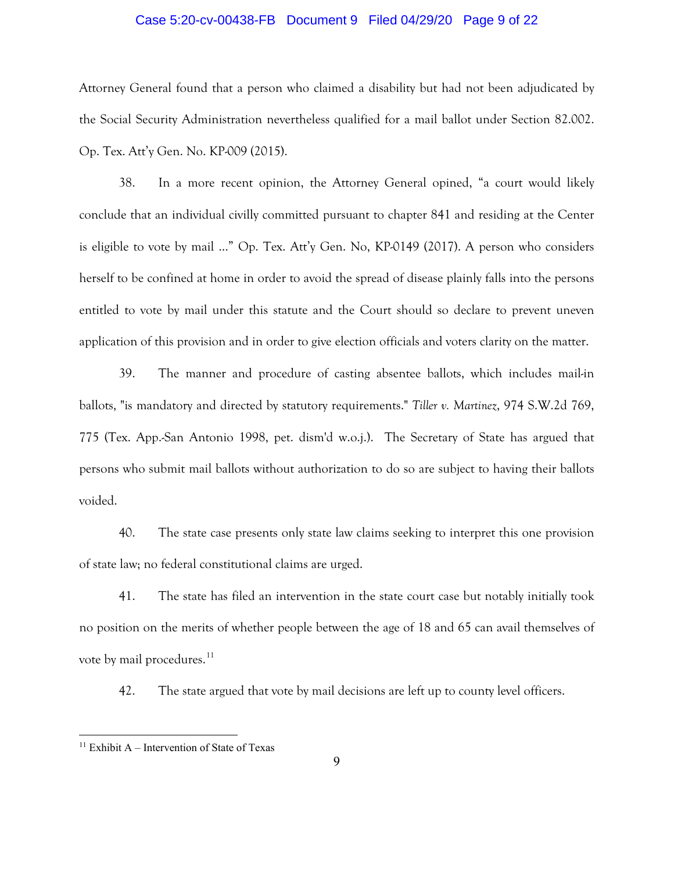### Case 5:20-cv-00438-FB Document 9 Filed 04/29/20 Page 9 of 22

Attorney General found that a person who claimed a disability but had not been adjudicated by the Social Security Administration nevertheless qualified for a mail ballot under Section 82.002. Op. Tex. Att'y Gen. No. KP-009 (2015).

38. In a more recent opinion, the Attorney General opined, "a court would likely conclude that an individual civilly committed pursuant to chapter 841 and residing at the Center is eligible to vote by mail …" Op. Tex. Att'y Gen. No, KP-0149 (2017). A person who considers herself to be confined at home in order to avoid the spread of disease plainly falls into the persons entitled to vote by mail under this statute and the Court should so declare to prevent uneven application of this provision and in order to give election officials and voters clarity on the matter.

39. The manner and procedure of casting absentee ballots, which includes mail-in ballots, "is mandatory and directed by statutory requirements." *Tiller v. Martinez*, 974 S.W.2d 769, 775 (Tex. App.-San Antonio 1998, pet. dism'd w.o.j.). The Secretary of State has argued that persons who submit mail ballots without authorization to do so are subject to having their ballots voided.

40. The state case presents only state law claims seeking to interpret this one provision of state law; no federal constitutional claims are urged.

41. The state has filed an intervention in the state court case but notably initially took no position on the merits of whether people between the age of 18 and 65 can avail themselves of vote by mail procedures.<sup>[11](#page-8-0)</sup>

42. The state argued that vote by mail decisions are left up to county level officers.

<span id="page-8-0"></span><sup>&</sup>lt;sup>11</sup> Exhibit A – Intervention of State of Texas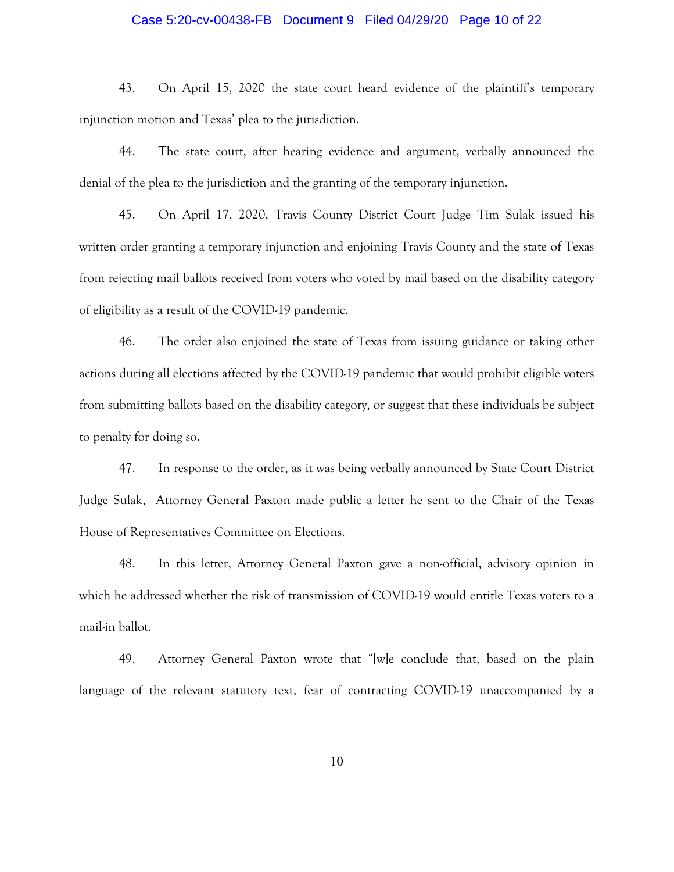### Case 5:20-cv-00438-FB Document 9 Filed 04/29/20 Page 10 of 22

43. On April 15, 2020 the state court heard evidence of the plaintiff's temporary injunction motion and Texas' plea to the jurisdiction.

44. The state court, after hearing evidence and argument, verbally announced the denial of the plea to the jurisdiction and the granting of the temporary injunction.

45. On April 17, 2020, Travis County District Court Judge Tim Sulak issued his written order granting a temporary injunction and enjoining Travis County and the state of Texas from rejecting mail ballots received from voters who voted by mail based on the disability category of eligibility as a result of the COVID-19 pandemic.

46. The order also enjoined the state of Texas from issuing guidance or taking other actions during all elections affected by the COVID-19 pandemic that would prohibit eligible voters from submitting ballots based on the disability category, or suggest that these individuals be subject to penalty for doing so.

47. In response to the order, as it was being verbally announced by State Court District Judge Sulak, Attorney General Paxton made public a letter he sent to the Chair of the Texas House of Representatives Committee on Elections.

48. In this letter, Attorney General Paxton gave a non-official, advisory opinion in which he addressed whether the risk of transmission of COVID-19 would entitle Texas voters to a mail-in ballot.

49. Attorney General Paxton wrote that "[w]e conclude that, based on the plain language of the relevant statutory text, fear of contracting COVID-19 unaccompanied by a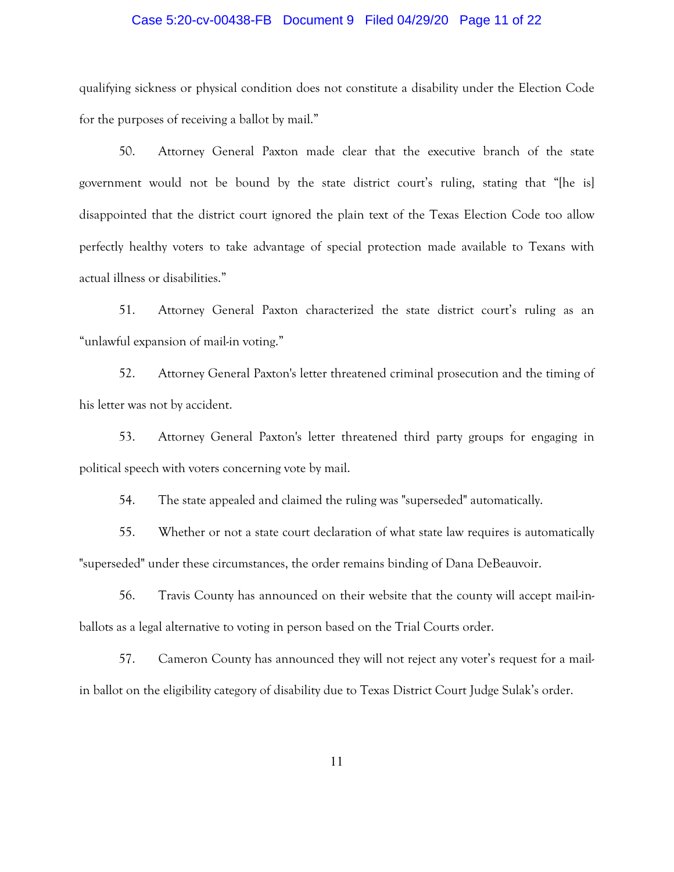### Case 5:20-cv-00438-FB Document 9 Filed 04/29/20 Page 11 of 22

qualifying sickness or physical condition does not constitute a disability under the Election Code for the purposes of receiving a ballot by mail."

50. Attorney General Paxton made clear that the executive branch of the state government would not be bound by the state district court's ruling, stating that "[he is] disappointed that the district court ignored the plain text of the Texas Election Code too allow perfectly healthy voters to take advantage of special protection made available to Texans with actual illness or disabilities."

51. Attorney General Paxton characterized the state district court's ruling as an "unlawful expansion of mail-in voting."

52. Attorney General Paxton's letter threatened criminal prosecution and the timing of his letter was not by accident.

53. Attorney General Paxton's letter threatened third party groups for engaging in political speech with voters concerning vote by mail.

54. The state appealed and claimed the ruling was "superseded" automatically.

55. Whether or not a state court declaration of what state law requires is automatically "superseded" under these circumstances, the order remains binding of Dana DeBeauvoir.

56. Travis County has announced on their website that the county will accept mail-inballots as a legal alternative to voting in person based on the Trial Courts order.

57. Cameron County has announced they will not reject any voter's request for a mailin ballot on the eligibility category of disability due to Texas District Court Judge Sulak's order.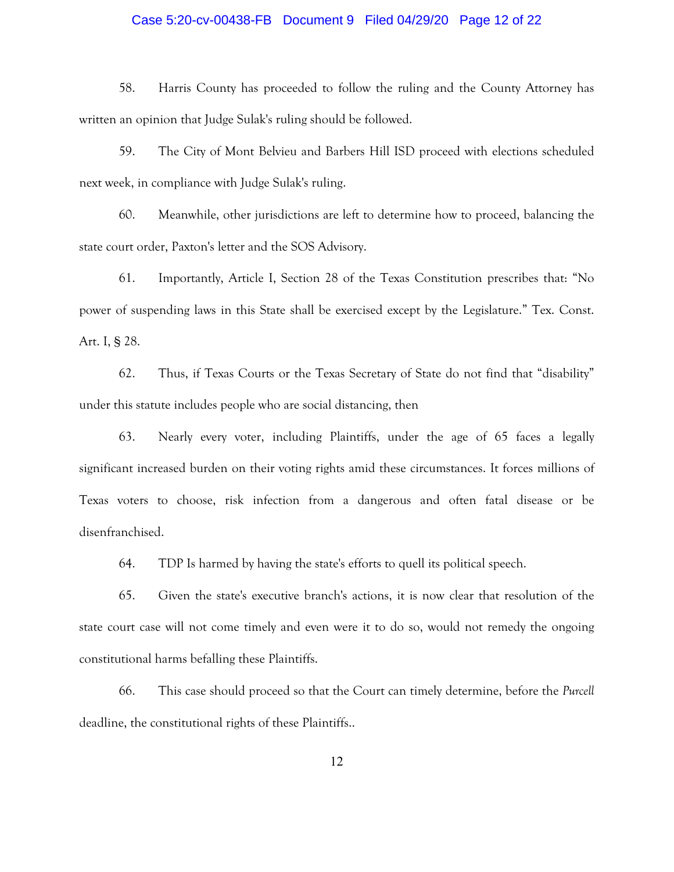### Case 5:20-cv-00438-FB Document 9 Filed 04/29/20 Page 12 of 22

58. Harris County has proceeded to follow the ruling and the County Attorney has written an opinion that Judge Sulak's ruling should be followed.

59. The City of Mont Belvieu and Barbers Hill ISD proceed with elections scheduled next week, in compliance with Judge Sulak's ruling.

60. Meanwhile, other jurisdictions are left to determine how to proceed, balancing the state court order, Paxton's letter and the SOS Advisory.

61. Importantly, Article I, Section 28 of the Texas Constitution prescribes that: "No power of suspending laws in this State shall be exercised except by the Legislature." Tex. Const. Art. I, § 28.

62. Thus, if Texas Courts or the Texas Secretary of State do not find that "disability" under this statute includes people who are social distancing, then

63. Nearly every voter, including Plaintiffs, under the age of 65 faces a legally significant increased burden on their voting rights amid these circumstances. It forces millions of Texas voters to choose, risk infection from a dangerous and often fatal disease or be disenfranchised.

64. TDP Is harmed by having the state's efforts to quell its political speech.

65. Given the state's executive branch's actions, it is now clear that resolution of the state court case will not come timely and even were it to do so, would not remedy the ongoing constitutional harms befalling these Plaintiffs.

66. This case should proceed so that the Court can timely determine, before the *Purcell* deadline, the constitutional rights of these Plaintiffs..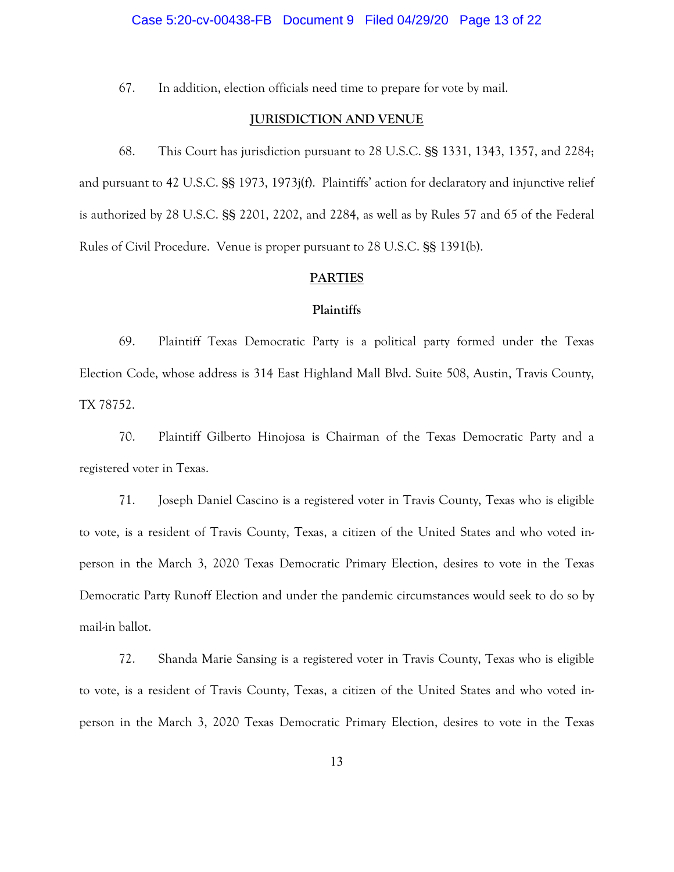#### Case 5:20-cv-00438-FB Document 9 Filed 04/29/20 Page 13 of 22

67. In addition, election officials need time to prepare for vote by mail.

#### **JURISDICTION AND VENUE**

68. This Court has jurisdiction pursuant to 28 U.S.C. §§ 1331, 1343, 1357, and 2284; and pursuant to 42 U.S.C. §§ 1973, 1973j(f). Plaintiffs' action for declaratory and injunctive relief is authorized by 28 U.S.C. §§ 2201, 2202, and 2284, as well as by Rules 57 and 65 of the Federal Rules of Civil Procedure. Venue is proper pursuant to 28 U.S.C. §§ 1391(b).

### **PARTIES**

#### **Plaintiffs**

69. Plaintiff Texas Democratic Party is a political party formed under the Texas Election Code, whose address is 314 East Highland Mall Blvd. Suite 508, Austin, Travis County, TX 78752.

70. Plaintiff Gilberto Hinojosa is Chairman of the Texas Democratic Party and a registered voter in Texas.

71. Joseph Daniel Cascino is a registered voter in Travis County, Texas who is eligible to vote, is a resident of Travis County, Texas, a citizen of the United States and who voted inperson in the March 3, 2020 Texas Democratic Primary Election, desires to vote in the Texas Democratic Party Runoff Election and under the pandemic circumstances would seek to do so by mail-in ballot.

72. Shanda Marie Sansing is a registered voter in Travis County, Texas who is eligible to vote, is a resident of Travis County, Texas, a citizen of the United States and who voted inperson in the March 3, 2020 Texas Democratic Primary Election, desires to vote in the Texas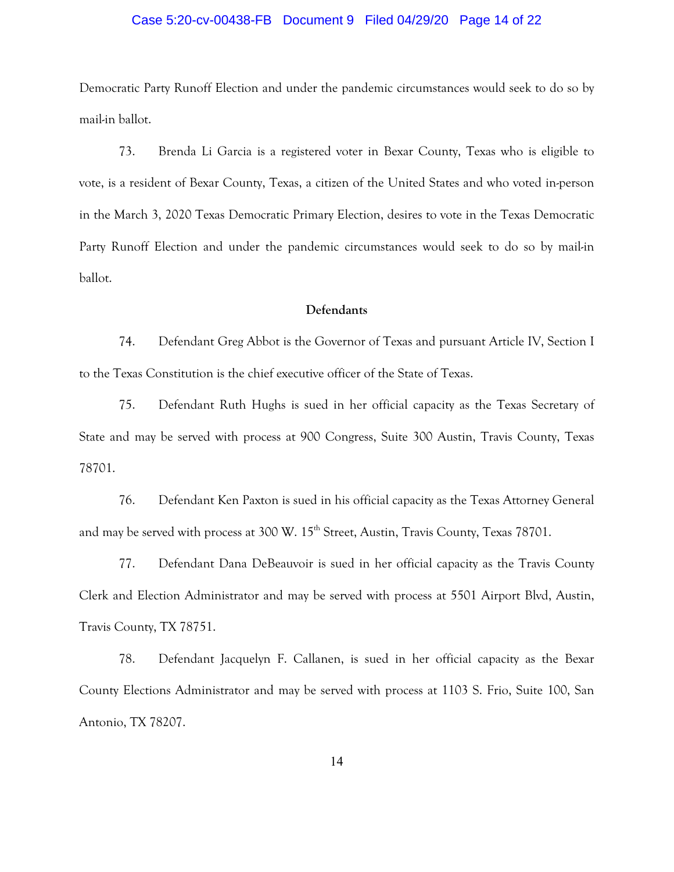### Case 5:20-cv-00438-FB Document 9 Filed 04/29/20 Page 14 of 22

Democratic Party Runoff Election and under the pandemic circumstances would seek to do so by mail-in ballot.

73. Brenda Li Garcia is a registered voter in Bexar County, Texas who is eligible to vote, is a resident of Bexar County, Texas, a citizen of the United States and who voted in-person in the March 3, 2020 Texas Democratic Primary Election, desires to vote in the Texas Democratic Party Runoff Election and under the pandemic circumstances would seek to do so by mail-in ballot.

### **Defendants**

74. Defendant Greg Abbot is the Governor of Texas and pursuant Article IV, Section I to the Texas Constitution is the chief executive officer of the State of Texas.

75. Defendant Ruth Hughs is sued in her official capacity as the Texas Secretary of State and may be served with process at 900 Congress, Suite 300 Austin, Travis County, Texas 78701.

76. Defendant Ken Paxton is sued in his official capacity as the Texas Attorney General and may be served with process at 300 W. 15<sup>th</sup> Street, Austin, Travis County, Texas 78701.

77. Defendant Dana DeBeauvoir is sued in her official capacity as the Travis County Clerk and Election Administrator and may be served with process at 5501 Airport Blvd, Austin, Travis County, TX 78751.

78. Defendant Jacquelyn F. Callanen, is sued in her official capacity as the Bexar County Elections Administrator and may be served with process at 1103 S. Frio, Suite 100, San Antonio, TX 78207.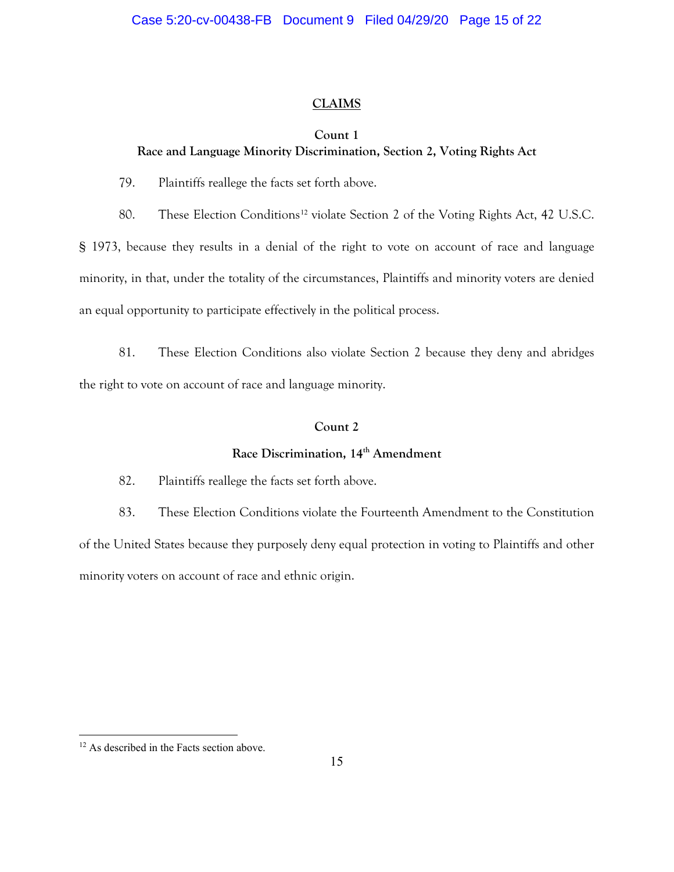# **CLAIMS**

# **Count 1**

# **Race and Language Minority Discrimination, Section 2, Voting Rights Act**

79. Plaintiffs reallege the facts set forth above.

80. These Election Conditions<sup>[12](#page-14-0)</sup> violate Section 2 of the Voting Rights Act, 42 U.S.C.

§ 1973, because they results in a denial of the right to vote on account of race and language minority, in that, under the totality of the circumstances, Plaintiffs and minority voters are denied an equal opportunity to participate effectively in the political process.

81. These Election Conditions also violate Section 2 because they deny and abridges the right to vote on account of race and language minority.

# **Count 2**

# **Race Discrimination, 14th Amendment**

82. Plaintiffs reallege the facts set forth above.

83. These Election Conditions violate the Fourteenth Amendment to the Constitution of the United States because they purposely deny equal protection in voting to Plaintiffs and other minority voters on account of race and ethnic origin.

<span id="page-14-0"></span><sup>&</sup>lt;sup>12</sup> As described in the Facts section above.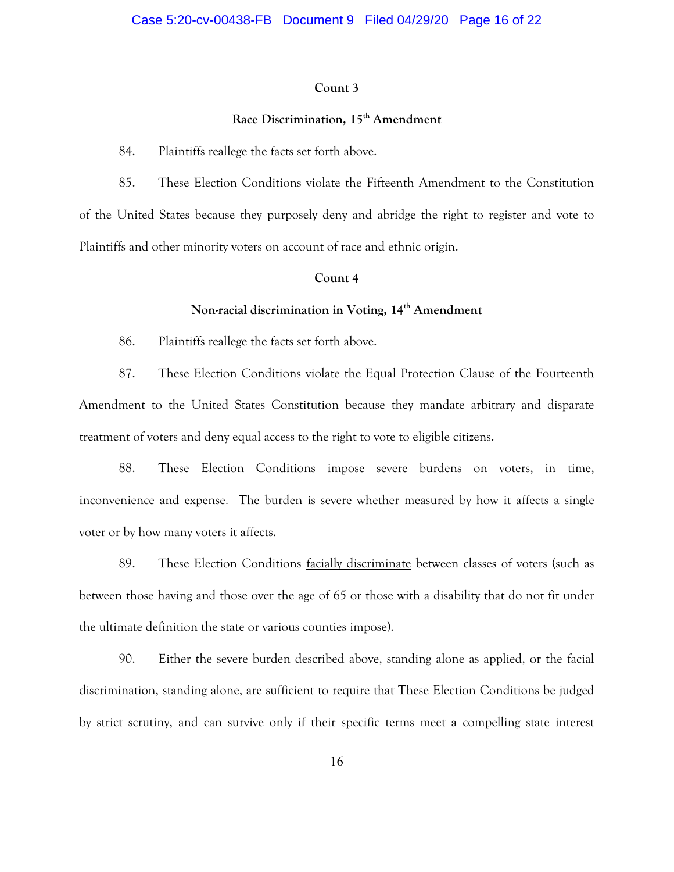### **Count 3**

# **Race Discrimination, 15th Amendment**

84. Plaintiffs reallege the facts set forth above.

85. These Election Conditions violate the Fifteenth Amendment to the Constitution of the United States because they purposely deny and abridge the right to register and vote to Plaintiffs and other minority voters on account of race and ethnic origin.

#### **Count 4**

# **Non-racial discrimination in Voting, 14th Amendment**

86. Plaintiffs reallege the facts set forth above.

87. These Election Conditions violate the Equal Protection Clause of the Fourteenth Amendment to the United States Constitution because they mandate arbitrary and disparate treatment of voters and deny equal access to the right to vote to eligible citizens.

88. These Election Conditions impose severe burdens on voters, in time, inconvenience and expense. The burden is severe whether measured by how it affects a single voter or by how many voters it affects.

89. These Election Conditions facially discriminate between classes of voters (such as between those having and those over the age of 65 or those with a disability that do not fit under the ultimate definition the state or various counties impose).

90. Either the severe burden described above, standing alone as applied, or the facial discrimination, standing alone, are sufficient to require that These Election Conditions be judged by strict scrutiny, and can survive only if their specific terms meet a compelling state interest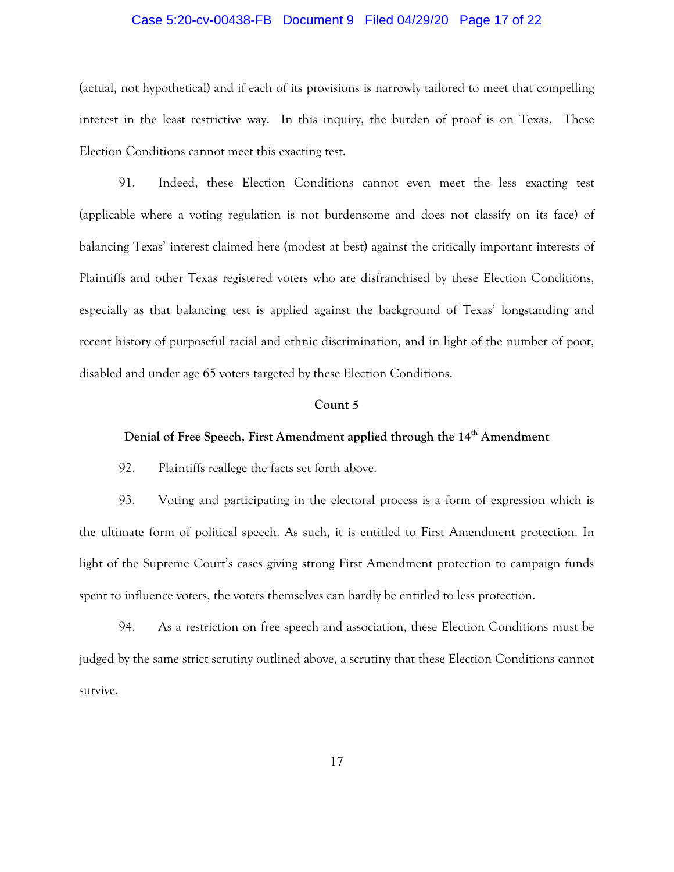### Case 5:20-cv-00438-FB Document 9 Filed 04/29/20 Page 17 of 22

(actual, not hypothetical) and if each of its provisions is narrowly tailored to meet that compelling interest in the least restrictive way. In this inquiry, the burden of proof is on Texas. These Election Conditions cannot meet this exacting test.

91. Indeed, these Election Conditions cannot even meet the less exacting test (applicable where a voting regulation is not burdensome and does not classify on its face) of balancing Texas' interest claimed here (modest at best) against the critically important interests of Plaintiffs and other Texas registered voters who are disfranchised by these Election Conditions, especially as that balancing test is applied against the background of Texas' longstanding and recent history of purposeful racial and ethnic discrimination, and in light of the number of poor, disabled and under age 65 voters targeted by these Election Conditions.

#### **Count 5**

# **Denial of Free Speech, First Amendment applied through the 14th Amendment**

92. Plaintiffs reallege the facts set forth above.

93. Voting and participating in the electoral process is a form of expression which is the ultimate form of political speech. As such, it is entitled to First Amendment protection. In light of the Supreme Court's cases giving strong First Amendment protection to campaign funds spent to influence voters, the voters themselves can hardly be entitled to less protection.

94. As a restriction on free speech and association, these Election Conditions must be judged by the same strict scrutiny outlined above, a scrutiny that these Election Conditions cannot survive.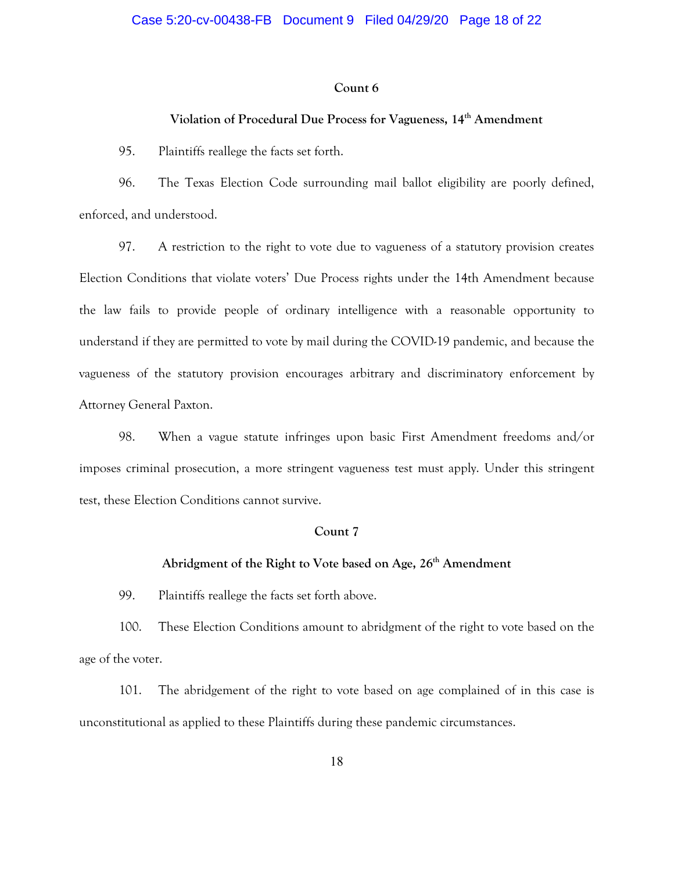#### **Count 6**

# **Violation of Procedural Due Process for Vagueness, 14th Amendment**

95. Plaintiffs reallege the facts set forth.

96. The Texas Election Code surrounding mail ballot eligibility are poorly defined, enforced, and understood.

97. A restriction to the right to vote due to vagueness of a statutory provision creates Election Conditions that violate voters' Due Process rights under the 14th Amendment because the law fails to provide people of ordinary intelligence with a reasonable opportunity to understand if they are permitted to vote by mail during the COVID-19 pandemic, and because the vagueness of the statutory provision encourages arbitrary and discriminatory enforcement by Attorney General Paxton.

98. When a vague statute infringes upon basic First Amendment freedoms and/or imposes criminal prosecution, a more stringent vagueness test must apply. Under this stringent test, these Election Conditions cannot survive.

### **Count 7**

# Abridgment of the Right to Vote based on Age, 26<sup>th</sup> Amendment

99. Plaintiffs reallege the facts set forth above.

100. These Election Conditions amount to abridgment of the right to vote based on the age of the voter.

101. The abridgement of the right to vote based on age complained of in this case is unconstitutional as applied to these Plaintiffs during these pandemic circumstances.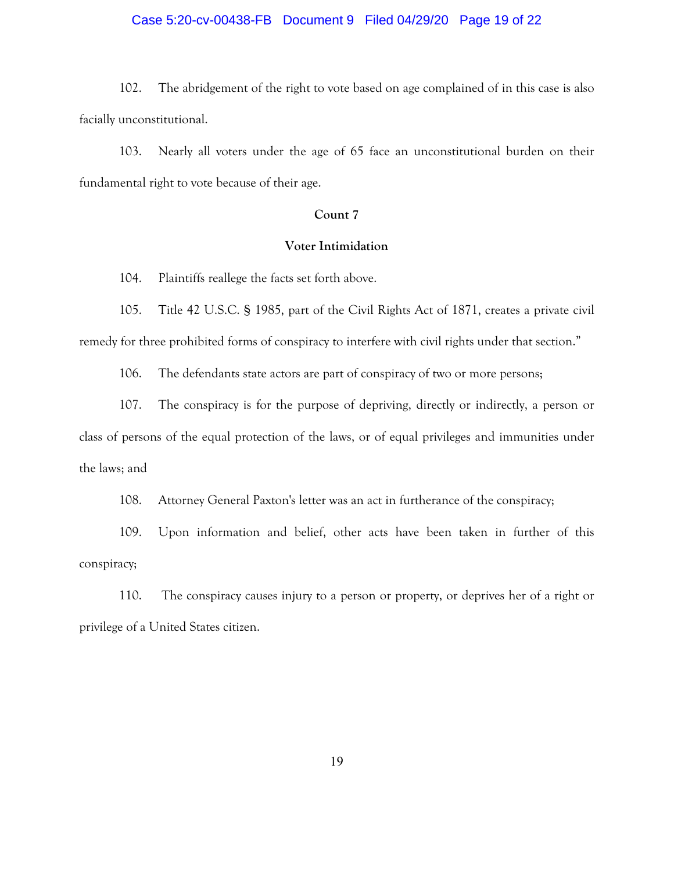### Case 5:20-cv-00438-FB Document 9 Filed 04/29/20 Page 19 of 22

102. The abridgement of the right to vote based on age complained of in this case is also facially unconstitutional.

103. Nearly all voters under the age of 65 face an unconstitutional burden on their fundamental right to vote because of their age.

# **Count 7**

### **Voter Intimidation**

104. Plaintiffs reallege the facts set forth above.

105. Title 42 U.S.C. § 1985, part of the Civil Rights Act of 1871, creates a private civil remedy for three prohibited forms of conspiracy to interfere with civil rights under that section."

106. The defendants state actors are part of conspiracy of two or more persons;

107. The conspiracy is for the purpose of depriving, directly or indirectly, a person or class of persons of the equal protection of the laws, or of equal privileges and immunities under the laws; and

108. Attorney General Paxton's letter was an act in furtherance of the conspiracy;

109. Upon information and belief, other acts have been taken in further of this conspiracy;

110. The conspiracy causes injury to a person or property, or deprives her of a right or privilege of a United States citizen.

19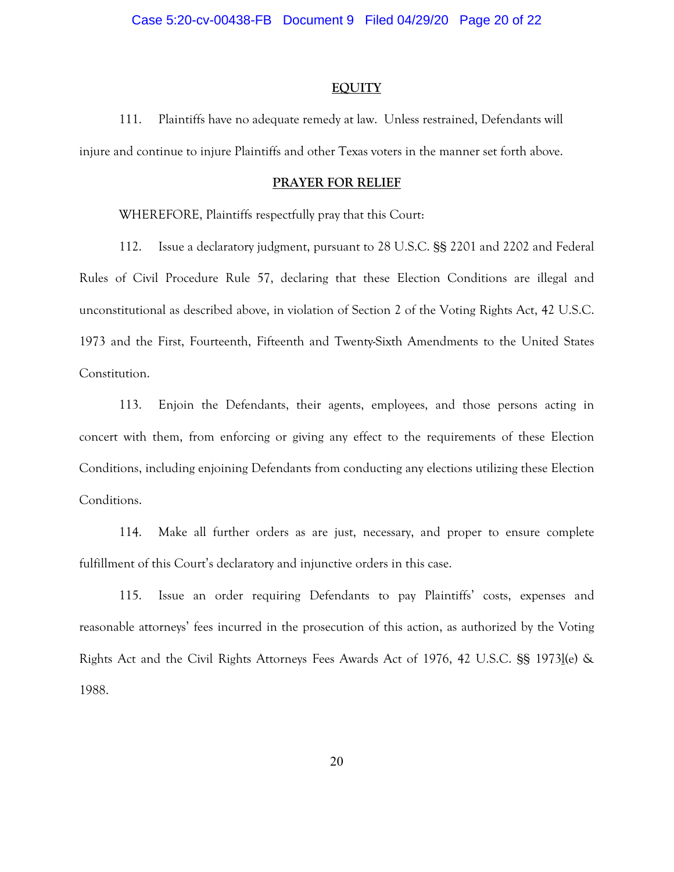#### **EQUITY**

111. Plaintiffs have no adequate remedy at law. Unless restrained, Defendants will injure and continue to injure Plaintiffs and other Texas voters in the manner set forth above.

#### **PRAYER FOR RELIEF**

WHEREFORE, Plaintiffs respectfully pray that this Court:

112. Issue a declaratory judgment, pursuant to 28 U.S.C. §§ 2201 and 2202 and Federal Rules of Civil Procedure Rule 57, declaring that these Election Conditions are illegal and unconstitutional as described above, in violation of Section 2 of the Voting Rights Act, 42 U.S.C. 1973 and the First, Fourteenth, Fifteenth and Twenty-Sixth Amendments to the United States Constitution.

113. Enjoin the Defendants, their agents, employees, and those persons acting in concert with them, from enforcing or giving any effect to the requirements of these Election Conditions, including enjoining Defendants from conducting any elections utilizing these Election Conditions.

114. Make all further orders as are just, necessary, and proper to ensure complete fulfillment of this Court's declaratory and injunctive orders in this case.

115. Issue an order requiring Defendants to pay Plaintiffs' costs, expenses and reasonable attorneys' fees incurred in the prosecution of this action, as authorized by the Voting Rights Act and the Civil Rights Attorneys Fees Awards Act of 1976, 42 U.S.C. §§ 1973l(e) & 1988.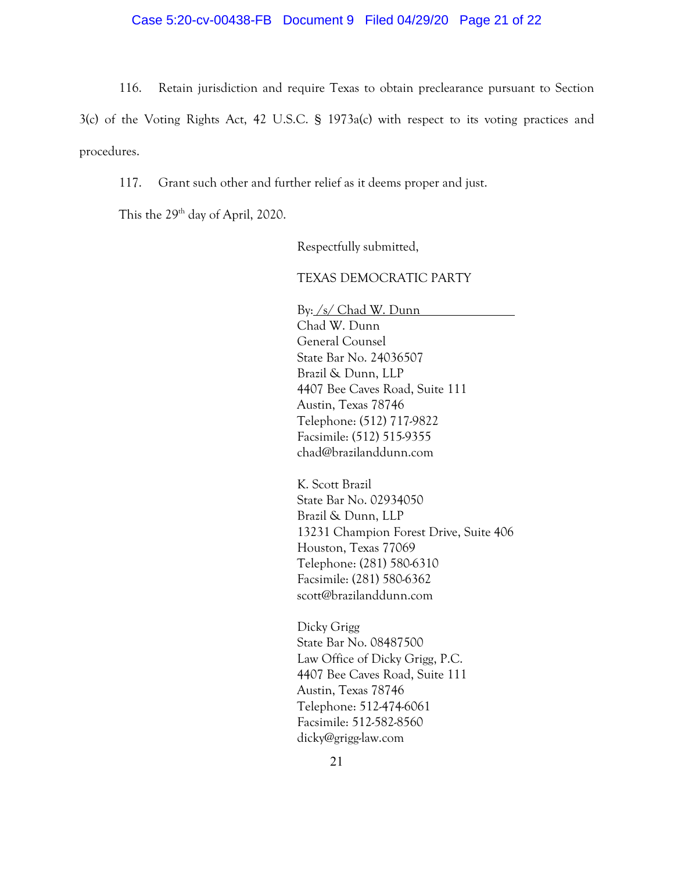### Case 5:20-cv-00438-FB Document 9 Filed 04/29/20 Page 21 of 22

116. Retain jurisdiction and require Texas to obtain preclearance pursuant to Section

3(c) of the Voting Rights Act, 42 U.S.C. § 1973a(c) with respect to its voting practices and procedures.

117. Grant such other and further relief as it deems proper and just.

This the 29<sup>th</sup> day of April, 2020.

Respectfully submitted,

## TEXAS DEMOCRATIC PARTY

By: /s/ Chad W. Dunn Chad W. Dunn General Counsel State Bar No. 24036507 Brazil & Dunn, LLP 4407 Bee Caves Road, Suite 111 Austin, Texas 78746 Telephone: (512) 717-9822 Facsimile: (512) 515-9355 chad@brazilanddunn.com

K. Scott Brazil State Bar No. 02934050 Brazil & Dunn, LLP 13231 Champion Forest Drive, Suite 406 Houston, Texas 77069 Telephone: (281) 580-6310 Facsimile: (281) 580-6362 scott@brazilanddunn.com

Dicky Grigg State Bar No. 08487500 Law Office of Dicky Grigg, P.C. 4407 Bee Caves Road, Suite 111 Austin, Texas 78746 Telephone: 512-474-6061 Facsimile: 512-582-8560 dicky@grigg-law.com